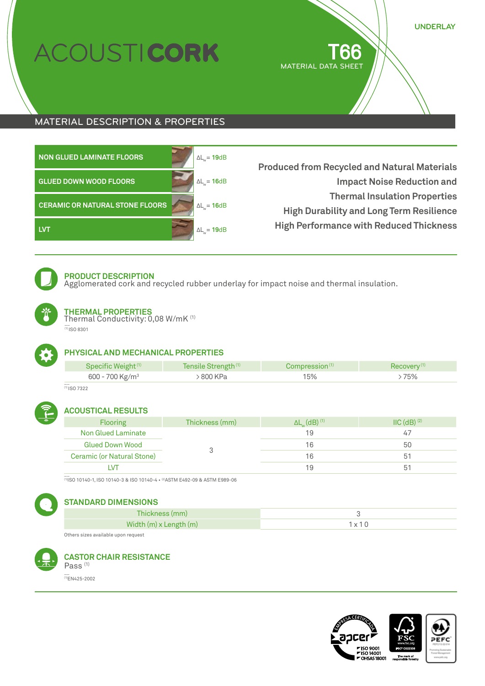# COUSTICORK

T66 MATERIAL DATA SHEET **UNDERLAY**

# MATERIAL DESCRIPTION & PROPERTIES

| <b>NON GLUED LAMINATE FLOORS</b>       | $\Delta L_{w} = 19dB$ | <b>Produced from Recycled and Natural Materials</b>                                     |
|----------------------------------------|-----------------------|-----------------------------------------------------------------------------------------|
| <b>GLUED DOWN WOOD FLOORS</b>          | $\Delta L_{w} = 16dB$ | <b>Impact Noise Reduction and</b>                                                       |
| <b>CERAMIC OR NATURAL STONE FLOORS</b> | $\Delta L_{w} = 16dB$ | <b>Thermal Insulation Properties</b><br><b>High Durability and Long Term Resilience</b> |
| <b>LVT</b>                             | $\Delta L_{w} = 19dB$ | <b>High Performance with Reduced Thickness</b>                                          |



# **PRODUCT DESCRIPTION**

Agglomerated cork and recycled rubber underlay for impact noise and thermal insulation.



# **THERMAL PROPERTIES**

Thermal Conductivity: 0,08 W/mK (1) \_\_<br>\_\_<br><sup>(1)</sup> ISO 8301



# **PHYSICAL AND MECHANICAL PROPERTIES**

| Specific Weight <sup>(1)</sup> | Tensile Strength <sup>(1)</sup> | Compression <sup>(1)</sup> | Recovery <sup>(1)</sup> |
|--------------------------------|---------------------------------|----------------------------|-------------------------|
| 600 - 700 Kg/m <sup>3</sup>    | 800 KPa                         | 15%                        | 75%                     |
|                                |                                 |                            |                         |

 $\frac{1}{(1)}$  ISO 7322



# **ACOUSTICAL RESULTS**

| <b>Flooring</b>            | Thickness (mm) | $\Delta L_{w}$ (dB) <sup>(1)</sup> | $\text{IIC}$ (dB) $(2)$ |
|----------------------------|----------------|------------------------------------|-------------------------|
| Non Glued Laminate         |                | 19                                 | 47                      |
| <b>Glued Down Wood</b>     |                | 16                                 | 50                      |
| Ceramic (or Natural Stone) |                | 16                                 | 5 <sup>7</sup>          |
|                            |                | 19                                 |                         |

\_\_<br><sup>(1)</sup>ISO 10140-1, ISO 10140-3 & ISO 10140-4 • <sup>(2)</sup>ASTM E492-09 & ASTM E989-06



# **STANDARD DIMENSIONS**

| Thickness (mm)         |               |
|------------------------|---------------|
| Width (m) x Length (m) | $1 \vee 1$ is |
|                        |               |

Others sizes available upon request



#### **CASTOR CHAIR RESISTANCE** Pass<sup>(1)</sup>

\_\_ (1)EN425-2002

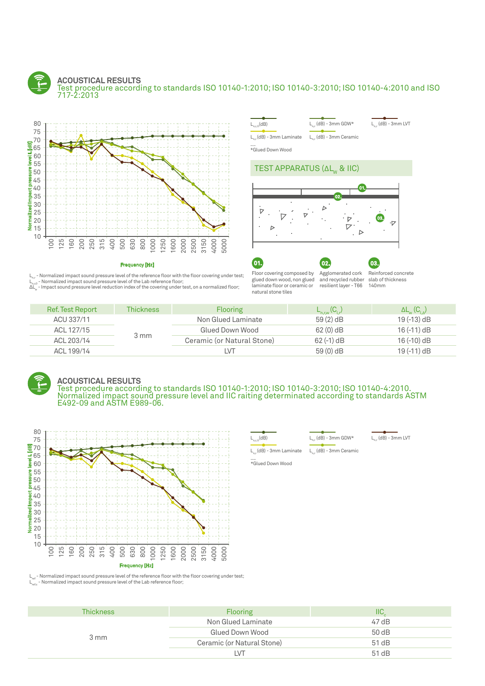#### **ACOUSTICAL RESULTS** Test procedure according to standards ISO 10140-1:2010; ISO 10140-3:2010; ISO 10140-4:2010 and ISO 717-2:2013





 $L_0(dB)$   $L_1(dB) - 3mm$  GDW\*

 $L_{n}$  (dB) - 3mm LVT

 $L_{n,r}$  (dB) - 3mm Ceramic

\_\_ \*Glued Down Wood

### TEST APPARATUS (ΔL<sub>w</sub> & IIC)



Frequency [Hz]

 $L_{n,r}$  - Normalized impact sound pressure level of the reference floor with the floor covering under test;  ${\sf L}_{_{\sf n,r0}}$  - Normalized impact sound pressure level of the Lab reference floor;<br>ΔL $_{\sf w}$  - Impact sound pressure level reduction index of the covering under test, on a normalized floor;

01. Floor covering composed by glued down wood, non glued laminate floor or ceramic or natural stone tiles 02. Agglomerated cork and recycled rubber resilient layer - T66

Reinforced concrete slab of thickness 140mm

03.

| <b>Ref. Test Report</b> | <b>Thickness</b> | <b>Flooring</b>            | $L_{n,\text{rw}}(C_{l,r})$ | $\Delta L_{w}$ (C <sub>LA</sub> ) |
|-------------------------|------------------|----------------------------|----------------------------|-----------------------------------|
| ACU 337/11              |                  | Non Glued Laminate         | $59(2)$ dB                 | $19(-13)$ dB                      |
| ACL 127/15              |                  | Glued Down Wood            | $62(0)$ dB                 | $16(-11)$ dB                      |
| ACL 203/14              | 3 mm             | Ceramic (or Natural Stone) | $62$ (-1) dB               | $16(-10)$ dB                      |
| ACL 199/14              |                  | I VT                       | 59 (0) dB                  | $19(-11)$ dB                      |



### **ACOUSTICAL RESULTS**

Test procedure according to standards ISO 10140-1:2010; ISO 10140-3:2010; ISO 10140-4:2010. Normalized impact sound pressure level and IIC raiting determinated according to standards ASTM E492-09 and ASTM E989-06.



 $L_{n}$ <sub>c</sub>(dB)  $L_{n}$  (dB) - 3mm GDW\*

 $L_{n,r}$  (dB) - 3mm LVT

\_\_ \*Glued Down Wood  $L_{n,r}$ (dB) - 3mm Laminate  $L_{n,r}$  (dB) - 3mm Ceramic

 $L_{ref}$  - Normalized impact sound pressure level of the reference floor with the floor covering under test;<br> $L_{ref_o}$  - Normalized impact sound pressure level of the Lab reference floor;

| Thickness | <b>Flooring</b>            | IIС   |
|-----------|----------------------------|-------|
| 3 mm      | Non Glued Laminate         | 47 dB |
|           | Glued Down Wood            | 50 dB |
|           | Ceramic (or Natural Stone) | 51 dB |
|           | I VT                       | 51 dB |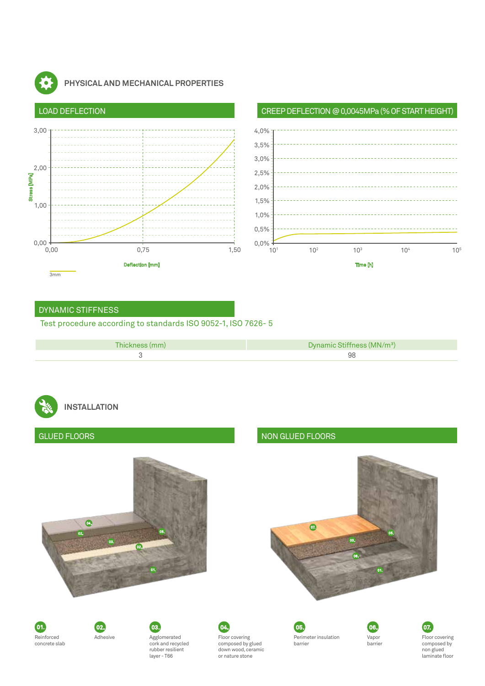

# **PHYSICAL AND MECHANICAL PROPERTIES**





# DYNAMIC STIFFNESS

# Test procedure according to standards ISO 9052-1, ISO 7626- 5

| Thickness (mm) | Dynamic Stiffness (MN/m <sup>3</sup> ) |
|----------------|----------------------------------------|
|                | 98                                     |
|                |                                        |

# **INSTALLATION**

# 02. 02. 06.  $\bullet$ 01. 01.  $\bullet$ 03. 03. GLUED FLOORS NON GLUED FLOORS 05. 05.









Floor covering composed by glued down wood, ceramic or nature stone

05. Perimeter insulation barrier